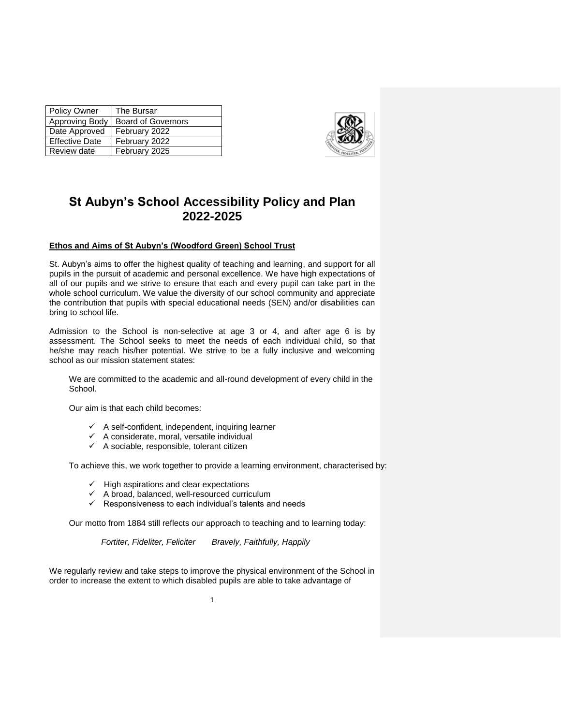| <b>Policy Owner</b>   | The Bursar                |
|-----------------------|---------------------------|
| Approving Body        | <b>Board of Governors</b> |
| Date Approved         | February 2022             |
| <b>Effective Date</b> | February 2022             |
| Review date           | February 2025             |



# **St Aubyn's School Accessibility Policy and Plan 2022-2025**

## **Ethos and Aims of St Aubyn's (Woodford Green) School Trust**

St. Aubyn's aims to offer the highest quality of teaching and learning, and support for all pupils in the pursuit of academic and personal excellence. We have high expectations of all of our pupils and we strive to ensure that each and every pupil can take part in the whole school curriculum. We value the diversity of our school community and appreciate the contribution that pupils with special educational needs (SEN) and/or disabilities can bring to school life.

Admission to the School is non-selective at age 3 or 4, and after age 6 is by assessment. The School seeks to meet the needs of each individual child, so that he/she may reach his/her potential. We strive to be a fully inclusive and welcoming school as our mission statement states:

We are committed to the academic and all-round development of every child in the School.

Our aim is that each child becomes:

- $\checkmark$  A self-confident, independent, inquiring learner
- $\checkmark$  A considerate, moral, versatile individual
- $\checkmark$  A sociable, responsible, tolerant citizen

To achieve this, we work together to provide a learning environment, characterised by:

- $\checkmark$  High aspirations and clear expectations
- $\checkmark$  A broad, balanced, well-resourced curriculum
- $\checkmark$  Responsiveness to each individual's talents and needs

Our motto from 1884 still reflects our approach to teaching and to learning today:

 *Fortiter, Fideliter, Feliciter Bravely, Faithfully, Happily*

We regularly review and take steps to improve the physical environment of the School in order to increase the extent to which disabled pupils are able to take advantage of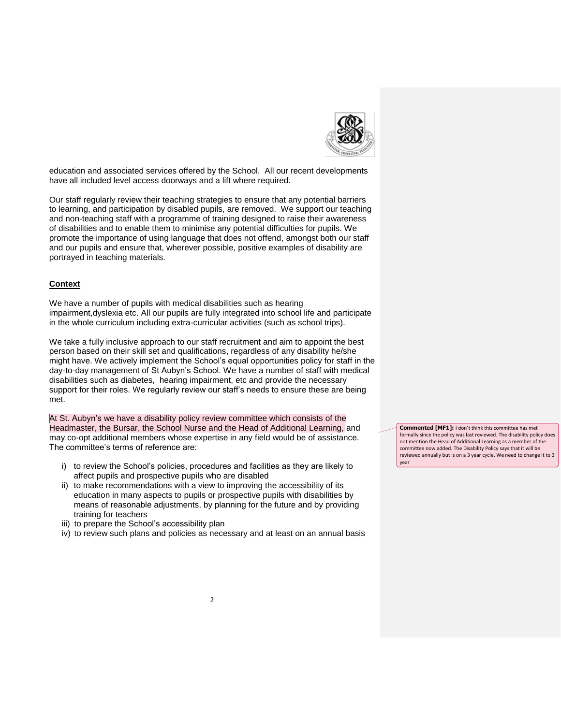

education and associated services offered by the School. All our recent developments have all included level access doorways and a lift where required.

Our staff regularly review their teaching strategies to ensure that any potential barriers to learning, and participation by disabled pupils, are removed. We support our teaching and non-teaching staff with a programme of training designed to raise their awareness of disabilities and to enable them to minimise any potential difficulties for pupils. We promote the importance of using language that does not offend, amongst both our staff and our pupils and ensure that, wherever possible, positive examples of disability are portrayed in teaching materials.

#### **Context**

We have a number of pupils with medical disabilities such as hearing impairment,dyslexia etc. All our pupils are fully integrated into school life and participate in the whole curriculum including extra-curricular activities (such as school trips).

We take a fully inclusive approach to our staff recruitment and aim to appoint the best person based on their skill set and qualifications, regardless of any disability he/she might have. We actively implement the School's equal opportunities policy for staff in the day-to-day management of St Aubyn's School. We have a number of staff with medical disabilities such as diabetes, hearing impairment, etc and provide the necessary support for their roles. We regularly review our staff's needs to ensure these are being met.

At St. Aubyn's we have a disability policy review committee which consists of the Headmaster, the Bursar, the School Nurse and the Head of Additional Learning, and may co-opt additional members whose expertise in any field would be of assistance. The committee's terms of reference are:

- i) to review the School's policies, procedures and facilities as they are likely to affect pupils and prospective pupils who are disabled
- ii) to make recommendations with a view to improving the accessibility of its education in many aspects to pupils or prospective pupils with disabilities by means of reasonable adjustments, by planning for the future and by providing training for teachers
- iii) to prepare the School's accessibility plan
- iv) to review such plans and policies as necessary and at least on an annual basis

**Commented [MF1]:** I don't think this committee has met formally since the policy was last reviewed. The disability policy does not mention the Head of Additional Learning as a member of the committee now added. The Disability Policy says that it will be reviewed annually but is on a 3 year cycle. We need to change it to 3 year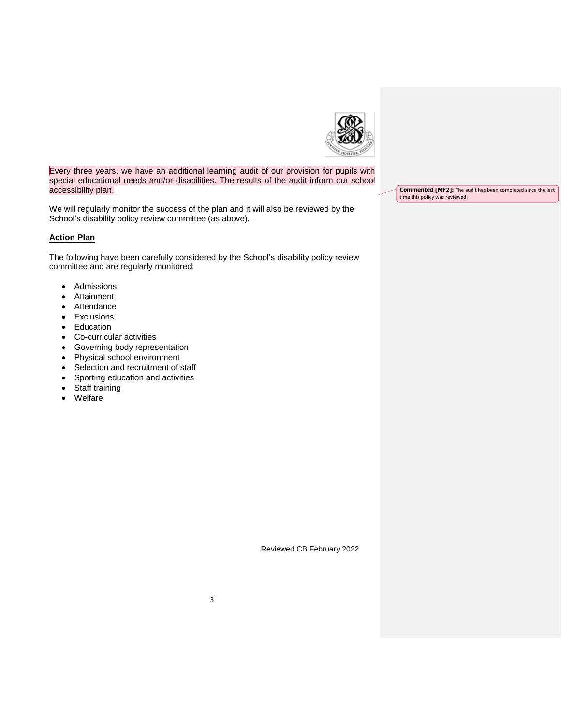

Every three years, we have an additional learning audit of our provision for pupils with special educational needs and/or disabilities. The results of the audit inform our school accessibility plan.

We will regularly monitor the success of the plan and it will also be reviewed by the School's disability policy review committee (as above).

## **Action Plan**

The following have been carefully considered by the School's disability policy review committee and are regularly monitored:

- Admissions
- Attainment
- Attendance
- Exclusions
- Education
- Co-curricular activities
- Governing body representation
- Physical school environment
- Selection and recruitment of staff
- Sporting education and activities
- Staff training
- Welfare

**Commented [MF2]:** The audit has been completed since the last time this policy was reviewed.

Reviewed CB February 2022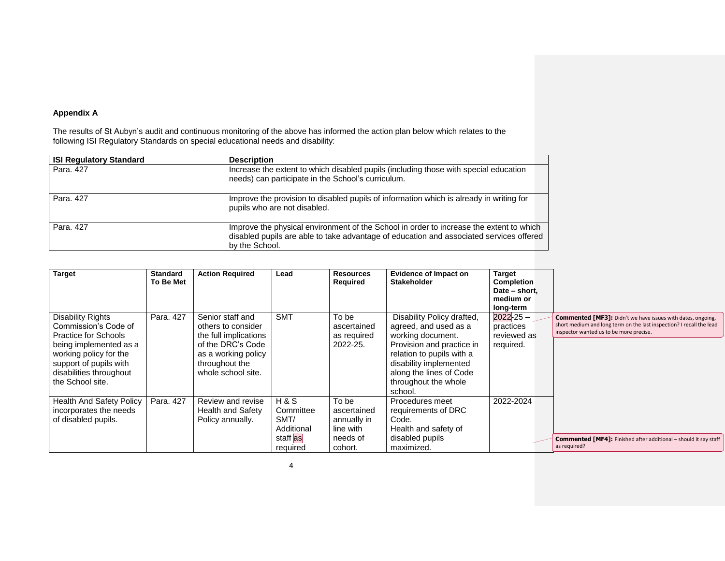# **Appendix A**

The results of St Aubyn's audit and continuous monitoring of the above has informed the action plan below which relates to the following ISI Regulatory Standards on special educational needs and disability:

| <b>ISI Regulatory Standard</b> | <b>Description</b>                                                                                                                                                                                   |
|--------------------------------|------------------------------------------------------------------------------------------------------------------------------------------------------------------------------------------------------|
| Para, 427                      | Increase the extent to which disabled pupils (including those with special education<br>needs) can participate in the School's curriculum.                                                           |
| Para, 427                      | Improve the provision to disabled pupils of information which is already in writing for<br>pupils who are not disabled.                                                                              |
| Para, 427                      | Improve the physical environment of the School in order to increase the extent to which<br>disabled pupils are able to take advantage of education and associated services offered<br>by the School. |

| <b>Target</b>                                                                                                                                                                                                | <b>Standard</b><br>To Be Met | <b>Action Required</b>                                                                                                                              | Lead                                                             | <b>Resources</b><br>Required                                            | Evidence of Impact on<br><b>Stakeholder</b>                                                                                                                                                                                | <b>Target</b><br><b>Completion</b><br>Date - short,<br>medium or<br>long-term |                                                                                                                                                                                       |
|--------------------------------------------------------------------------------------------------------------------------------------------------------------------------------------------------------------|------------------------------|-----------------------------------------------------------------------------------------------------------------------------------------------------|------------------------------------------------------------------|-------------------------------------------------------------------------|----------------------------------------------------------------------------------------------------------------------------------------------------------------------------------------------------------------------------|-------------------------------------------------------------------------------|---------------------------------------------------------------------------------------------------------------------------------------------------------------------------------------|
| <b>Disability Rights</b><br>Commission's Code of<br><b>Practice for Schools</b><br>being implemented as a<br>working policy for the<br>support of pupils with<br>disabilities throughout<br>the School site. | Para, 427                    | Senior staff and<br>others to consider<br>the full implications<br>of the DRC's Code<br>as a working policy<br>throughout the<br>whole school site. | <b>SMT</b>                                                       | To be<br>ascertained<br>as required<br>2022-25.                         | Disability Policy drafted,<br>agreed, and used as a<br>working document.<br>Provision and practice in<br>relation to pupils with a<br>disability implemented<br>along the lines of Code<br>throughout the whole<br>school. | $2022 - 25 -$<br>practices<br>reviewed as<br>required.                        | <b>Commented [MF3]:</b> Didn't we have issues with dates, ongoing,<br>short medium and long term on the last inspection? I recall the lead<br>inspector wanted us to be more precise. |
| <b>Health And Safety Policy</b><br>incorporates the needs<br>of disabled pupils.                                                                                                                             | Para, 427                    | Review and revise<br><b>Health and Safety</b><br>Policy annually.                                                                                   | H & S<br>Committee<br>SMT/<br>Additional<br>staff as<br>required | To be<br>ascertained<br>annually in<br>line with<br>needs of<br>cohort. | Procedures meet<br>requirements of DRC<br>Code.<br>Health and safety of<br>disabled pupils<br>maximized.                                                                                                                   | 2022-2024                                                                     | <b>Commented [MF4]:</b> Finished after additional - should it say staff<br>as required?                                                                                               |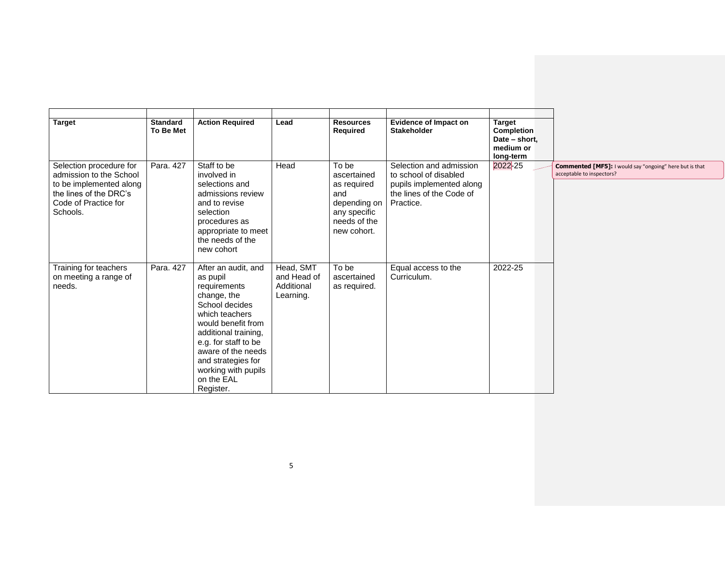| <b>Target</b>                                                                                                                               | <b>Standard</b><br>To Be Met | <b>Action Required</b>                                                                                                                                                                                                                                                 | Lead                                                | <b>Resources</b><br>Required                                                                              | <b>Evidence of Impact on</b><br><b>Stakeholder</b>                                                                    | <b>Target</b><br>Completion<br>Date - short,<br>medium or<br>long-term |                                                                                      |
|---------------------------------------------------------------------------------------------------------------------------------------------|------------------------------|------------------------------------------------------------------------------------------------------------------------------------------------------------------------------------------------------------------------------------------------------------------------|-----------------------------------------------------|-----------------------------------------------------------------------------------------------------------|-----------------------------------------------------------------------------------------------------------------------|------------------------------------------------------------------------|--------------------------------------------------------------------------------------|
| Selection procedure for<br>admission to the School<br>to be implemented along<br>the lines of the DRC's<br>Code of Practice for<br>Schools. | Para. 427                    | Staff to be<br>involved in<br>selections and<br>admissions review<br>and to revise<br>selection<br>procedures as<br>appropriate to meet<br>the needs of the<br>new cohort                                                                                              | Head                                                | To be<br>ascertained<br>as required<br>and<br>depending on<br>any specific<br>needs of the<br>new cohort. | Selection and admission<br>to school of disabled<br>pupils implemented along<br>the lines of the Code of<br>Practice. | 2022-25                                                                | Commented [MF5]: I would say "ongoing" here but is that<br>acceptable to inspectors? |
| Training for teachers<br>on meeting a range of<br>needs.                                                                                    | Para, 427                    | After an audit, and<br>as pupil<br>requirements<br>change, the<br>School decides<br>which teachers<br>would benefit from<br>additional training,<br>e.g. for staff to be<br>aware of the needs<br>and strategies for<br>working with pupils<br>on the EAL<br>Register. | Head, SMT<br>and Head of<br>Additional<br>Learning. | To be<br>ascertained<br>as required.                                                                      | Equal access to the<br>Curriculum.                                                                                    | 2022-25                                                                |                                                                                      |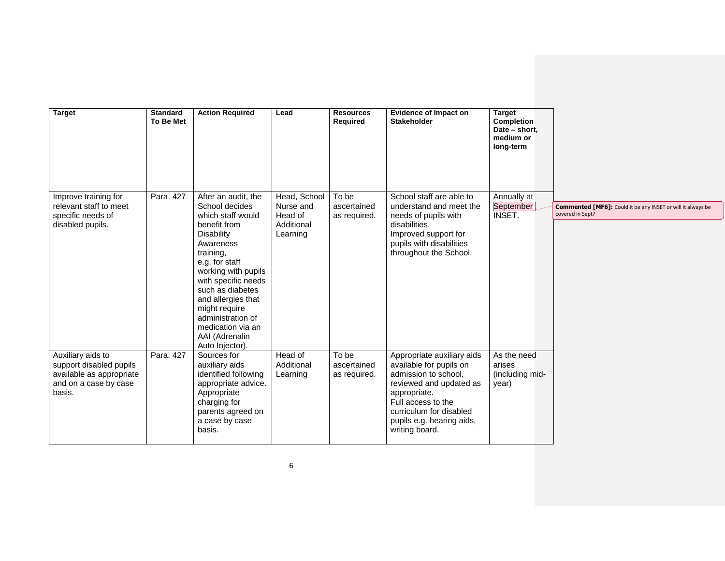| <b>Target</b>                                                                                               | <b>Standard</b><br><b>To Be Met</b> | <b>Action Required</b>                                                                                                                                                                                                                                                                                                       | Lead                                                           | <b>Resources</b><br><b>Required</b>  | <b>Evidence of Impact on</b><br><b>Stakeholder</b>                                                                                                                                                                       | <b>Target</b><br><b>Completion</b><br>Date - short,<br>medium or<br>long-term |                                                                                        |
|-------------------------------------------------------------------------------------------------------------|-------------------------------------|------------------------------------------------------------------------------------------------------------------------------------------------------------------------------------------------------------------------------------------------------------------------------------------------------------------------------|----------------------------------------------------------------|--------------------------------------|--------------------------------------------------------------------------------------------------------------------------------------------------------------------------------------------------------------------------|-------------------------------------------------------------------------------|----------------------------------------------------------------------------------------|
| Improve training for<br>relevant staff to meet<br>specific needs of<br>disabled pupils.                     | Para. 427                           | After an audit, the<br>School decides<br>which staff would<br>benefit from<br>Disability<br>Awareness<br>training,<br>e.g. for staff<br>working with pupils<br>with specific needs<br>such as diabetes<br>and allergies that<br>might require<br>administration of<br>medication via an<br>AAI (Adrenalin<br>Auto Injector). | Head, School<br>Nurse and<br>Head of<br>Additional<br>Learning | To be<br>ascertained<br>as required. | School staff are able to<br>understand and meet the<br>needs of pupils with<br>disabilities.<br>Improved support for<br>pupils with disabilities<br>throughout the School.                                               | Annually at<br>September<br>INSET.                                            | <b>Commented [MF6]:</b> Could it be any INSET or will it always be<br>covered in Sept? |
| Auxiliary aids to<br>support disabled pupils<br>available as appropriate<br>and on a case by case<br>basis. | Para. 427                           | Sources for<br>auxiliary aids<br>identified following<br>appropriate advice.<br>Appropriate<br>charging for<br>parents agreed on<br>a case by case<br>basis.                                                                                                                                                                 | Head of<br>Additional<br>Learning                              | To be<br>ascertained<br>as required. | Appropriate auxiliary aids<br>available for pupils on<br>admission to school,<br>reviewed and updated as<br>appropriate.<br>Full access to the<br>curriculum for disabled<br>pupils e.g. hearing aids,<br>writing board. | As the need<br>arises<br>(including mid-<br>year)                             |                                                                                        |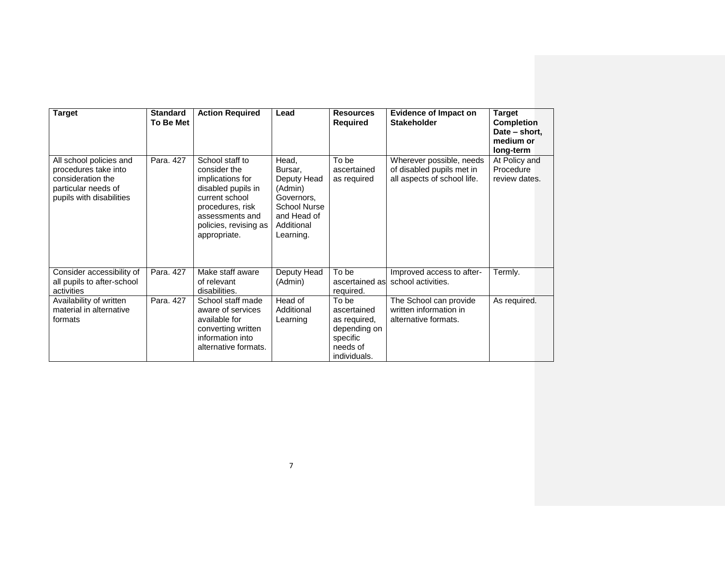| <b>Target</b>                                                                                                           | <b>Standard</b><br>To Be Met | <b>Action Required</b>                                                                                                                                                      | Lead                                                                                                                      | <b>Resources</b><br><b>Required</b>                                                          | <b>Evidence of Impact on</b><br><b>Stakeholder</b>                                   | <b>Target</b><br><b>Completion</b><br>Date - short,<br>medium or<br>long-term |
|-------------------------------------------------------------------------------------------------------------------------|------------------------------|-----------------------------------------------------------------------------------------------------------------------------------------------------------------------------|---------------------------------------------------------------------------------------------------------------------------|----------------------------------------------------------------------------------------------|--------------------------------------------------------------------------------------|-------------------------------------------------------------------------------|
| All school policies and<br>procedures take into<br>consideration the<br>particular needs of<br>pupils with disabilities | Para, 427                    | School staff to<br>consider the<br>implications for<br>disabled pupils in<br>current school<br>procedures, risk<br>assessments and<br>policies, revising as<br>appropriate. | Head,<br>Bursar,<br>Deputy Head<br>(Admin)<br>Governors,<br><b>School Nurse</b><br>and Head of<br>Additional<br>Learning. | To be<br>ascertained<br>as required                                                          | Wherever possible, needs<br>of disabled pupils met in<br>all aspects of school life. | At Policy and<br>Procedure<br>review dates.                                   |
| Consider accessibility of<br>all pupils to after-school<br>activities                                                   | Para, 427                    | Make staff aware<br>of relevant<br>disabilities.                                                                                                                            | Deputy Head<br>(Admin)                                                                                                    | To be<br>ascertained as<br>required.                                                         | Improved access to after-<br>school activities.                                      | Termly.                                                                       |
| Availability of written<br>material in alternative<br>formats                                                           | Para, 427                    | School staff made<br>aware of services<br>available for<br>converting written<br>information into<br>alternative formats.                                                   | Head of<br>Additional<br>Learning                                                                                         | To be<br>ascertained<br>as required,<br>depending on<br>specific<br>needs of<br>individuals. | The School can provide<br>written information in<br>alternative formats.             | As required.                                                                  |